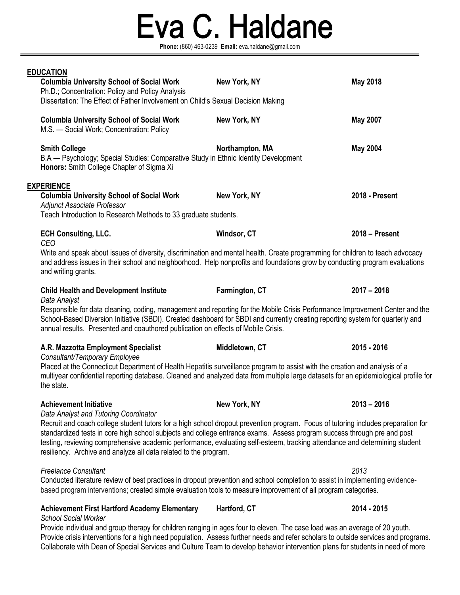# Eva C. Haldane

**Phone:** (860) 463-0239 **Email:** eva.haldane@gmail.com

|                   | <b>EDUCATION</b>                                                                                                                                                                                                                                                                                                                                                                                                                                               |                 |                 |  |  |
|-------------------|----------------------------------------------------------------------------------------------------------------------------------------------------------------------------------------------------------------------------------------------------------------------------------------------------------------------------------------------------------------------------------------------------------------------------------------------------------------|-----------------|-----------------|--|--|
|                   | <b>Columbia University School of Social Work</b><br>Ph.D.; Concentration: Policy and Policy Analysis                                                                                                                                                                                                                                                                                                                                                           | New York, NY    | <b>May 2018</b> |  |  |
|                   | Dissertation: The Effect of Father Involvement on Child's Sexual Decision Making                                                                                                                                                                                                                                                                                                                                                                               |                 |                 |  |  |
|                   | <b>Columbia University School of Social Work</b><br>M.S. - Social Work; Concentration: Policy                                                                                                                                                                                                                                                                                                                                                                  | New York, NY    | <b>May 2007</b> |  |  |
|                   | <b>Smith College</b><br>B.A — Psychology; Special Studies: Comparative Study in Ethnic Identity Development<br>Honors: Smith College Chapter of Sigma Xi                                                                                                                                                                                                                                                                                                       | Northampton, MA | <b>May 2004</b> |  |  |
| <b>EXPERIENCE</b> |                                                                                                                                                                                                                                                                                                                                                                                                                                                                |                 |                 |  |  |
|                   | <b>Columbia University School of Social Work</b><br><b>Adjunct Associate Professor</b>                                                                                                                                                                                                                                                                                                                                                                         | New York, NY    | 2018 - Present  |  |  |
|                   | Teach Introduction to Research Methods to 33 graduate students.                                                                                                                                                                                                                                                                                                                                                                                                |                 |                 |  |  |
|                   | <b>ECH Consulting, LLC.</b><br><b>CEO</b>                                                                                                                                                                                                                                                                                                                                                                                                                      | Windsor, CT     | 2018 - Present  |  |  |
|                   | Write and speak about issues of diversity, discrimination and mental health. Create programming for children to teach advocacy<br>and address issues in their school and neighborhood. Help nonprofits and foundations grow by conducting program evaluations<br>and writing grants.                                                                                                                                                                           |                 |                 |  |  |
|                   | <b>Child Health and Development Institute</b><br>Data Analyst                                                                                                                                                                                                                                                                                                                                                                                                  | Farmington, CT  | $2017 - 2018$   |  |  |
|                   | Responsible for data cleaning, coding, management and reporting for the Mobile Crisis Performance Improvement Center and the<br>School-Based Diversion Initiative (SBDI). Created dashboard for SBDI and currently creating reporting system for quarterly and<br>annual results. Presented and coauthored publication on effects of Mobile Crisis.                                                                                                            |                 |                 |  |  |
|                   | A.R. Mazzotta Employment Specialist<br>Consultant/Temporary Employee                                                                                                                                                                                                                                                                                                                                                                                           | Middletown, CT  | 2015 - 2016     |  |  |
|                   | Placed at the Connecticut Department of Health Hepatitis surveillance program to assist with the creation and analysis of a<br>multiyear confidential reporting database. Cleaned and analyzed data from multiple large datasets for an epidemiological profile for<br>the state.                                                                                                                                                                              |                 |                 |  |  |
|                   | <b>Achievement Initiative</b><br>Data Analyst and Tutoring Coordinator                                                                                                                                                                                                                                                                                                                                                                                         | New York, NY    | $2013 - 2016$   |  |  |
|                   | Recruit and coach college student tutors for a high school dropout prevention program. Focus of tutoring includes preparation for<br>standardized tests in core high school subjects and college entrance exams. Assess program success through pre and post<br>testing, reviewing comprehensive academic performance, evaluating self-esteem, tracking attendance and determining student<br>resiliency. Archive and analyze all data related to the program. |                 |                 |  |  |
|                   | <b>Freelance Consultant</b>                                                                                                                                                                                                                                                                                                                                                                                                                                    |                 | 2013            |  |  |
|                   | Conducted literature review of best practices in dropout prevention and school completion to assist in implementing evidence-<br>based program interventions; created simple evaluation tools to measure improvement of all program categories.                                                                                                                                                                                                                |                 |                 |  |  |
|                   | <b>Achievement First Hartford Academy Elementary</b><br><b>School Social Worker</b>                                                                                                                                                                                                                                                                                                                                                                            | Hartford, CT    | 2014 - 2015     |  |  |
|                   | Provide individual and group therapy for children ranging in ages four to eleven. The case load was an average of 20 youth.                                                                                                                                                                                                                                                                                                                                    |                 |                 |  |  |

Provide crisis interventions for a high need population. Assess further needs and refer scholars to outside services and programs. Collaborate with Dean of Special Services and Culture Team to develop behavior intervention plans for students in need of more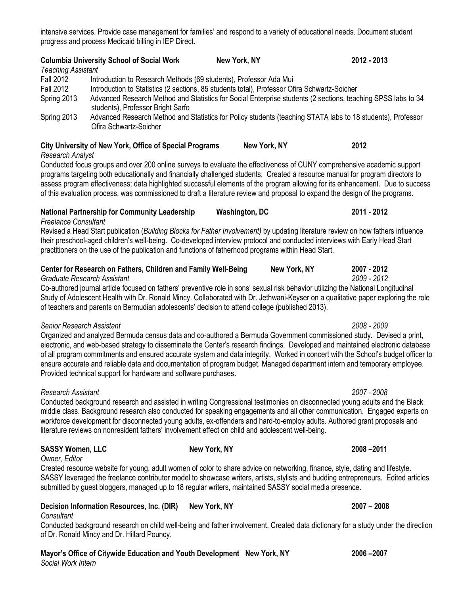# intensive services. Provide case management for families' and respond to a variety of educational needs. Document student progress and process Medicaid billing in IEP Direct.

| Teaching Assistant | <b>Columbia University School of Social Work</b>                                                                                                  | New York, NY                                                                                                | 2012 - 2013 |  |  |
|--------------------|---------------------------------------------------------------------------------------------------------------------------------------------------|-------------------------------------------------------------------------------------------------------------|-------------|--|--|
| <b>Fall 2012</b>   | Introduction to Research Methods (69 students), Professor Ada Mui                                                                                 |                                                                                                             |             |  |  |
| <b>Fall 2012</b>   | Introduction to Statistics (2 sections, 85 students total), Professor Ofira Schwartz-Soicher                                                      |                                                                                                             |             |  |  |
| Spring 2013        | Advanced Research Method and Statistics for Social Enterprise students (2 sections, teaching SPSS labs to 34<br>students), Professor Bright Sarfo |                                                                                                             |             |  |  |
| Spring 2013        | Ofira Schwartz-Soicher                                                                                                                            | Advanced Research Method and Statistics for Policy students (teaching STATA labs to 18 students), Professor |             |  |  |

### **City University of New York, Office of Special Programs New York, NY 2012** *Research Analyst*

Conducted focus groups and over 200 online surveys to evaluate the effectiveness of CUNY comprehensive academic support programs targeting both educationally and financially challenged students. Created a resource manual for program directors to assess program effectiveness; data highlighted successful elements of the program allowing for its enhancement. Due to success of this evaluation process, was commissioned to draft a literature review and proposal to expand the design of the programs.

# **National Partnership for Community Leadership Washington, DC 2011 - 2012**

*Freelance Consultant*

Revised a Head Start publication (*Building Blocks for Father Involvement)* by updating literature review on how fathers influence their preschool-aged children's well-being.Co-developed interview protocol and conducted interviews with Early Head Start practitioners on the use of the publication and functions of fatherhood programs within Head Start.

### **Center for Research on Fathers, Children and Family Well-Being New York, NY 2007 - 2012** *Graduate Research Assistant 2009 - 2012*

Co-authored journal article focused on fathers' preventive role in sons' sexual risk behavior utilizing the National Longitudinal Study of Adolescent Health with Dr. Ronald Mincy. Collaborated with Dr. Jethwani-Keyser on a qualitative paper exploring the role of teachers and parents on Bermudian adolescents' decision to attend college (published 2013).

# *Senior Research Assistant 2008 - 2009*

Organized and analyzed Bermuda census data and co-authored a Bermuda Government commissioned study. Devised a print, electronic, and web-based strategy to disseminate the Center's research findings. Developed and maintained electronic database of all program commitments and ensured accurate system and data integrity. Worked in concert with the School's budget officer to ensure accurate and reliable data and documentation of program budget. Managed department intern and temporary employee. Provided technical support for hardware and software purchases.

# *Research Assistant 2007 –2008*

Conducted background research and assisted in writing Congressional testimonies on disconnected young adults and the Black middle class. Background research also conducted for speaking engagements and all other communication. Engaged experts on workforce development for disconnected young adults, ex-offenders and hard-to-employ adults. Authored grant proposals and literature reviews on nonresident fathers' involvement effect on child and adolescent well-being.

# **SASSY Women, LLC New York, NY 2008 –2011**

*Owner, Editor*

Created resource website for young, adult women of color to share advice on networking, finance, style, dating and lifestyle. SASSY leveraged the freelance contributor model to showcase writers, artists, stylists and budding entrepreneurs. Edited articles submitted by guest bloggers, managed up to 18 regular writers, maintained SASSY social media presence.

# **Decision Information Resources, Inc. (DIR) New York, NY 2007 – 2008**

*Consultant*

Conducted background research on child well-being and father involvement. Created data dictionary for a study under the direction of Dr. Ronald Mincy and Dr. Hillard Pouncy.

**Mayor's Office of Citywide Education and Youth Development New York, NY 2006 –2007** *Social Work Intern*